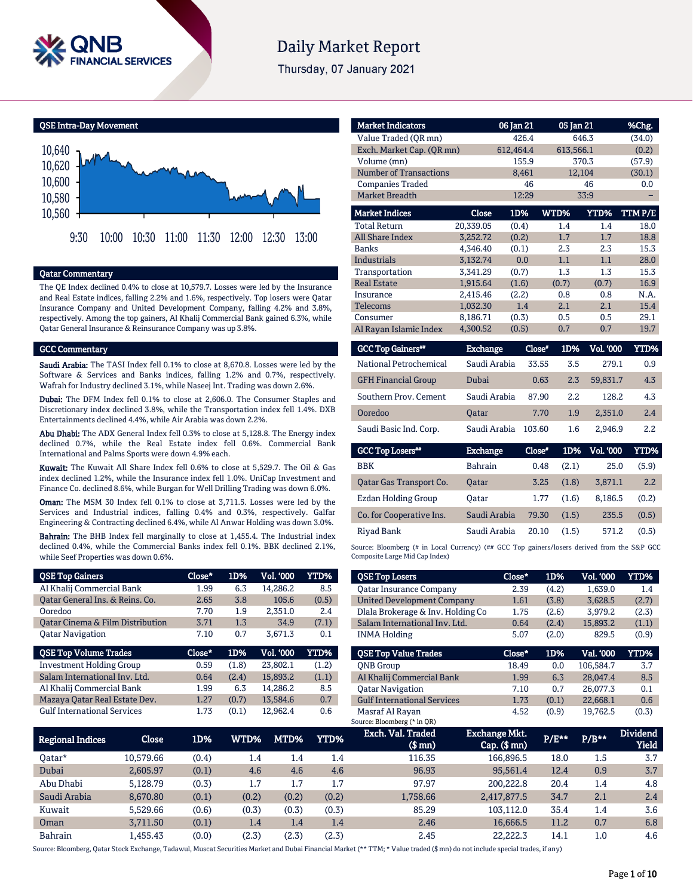

# **Daily Market Report**

Thursday, 07 January 2021

QSE Intra-Day Movement



## Qatar Commentary

The QE Index declined 0.4% to close at 10,579.7. Losses were led by the Insurance and Real Estate indices, falling 2.2% and 1.6%, respectively. Top losers were Qatar Insurance Company and United Development Company, falling 4.2% and 3.8%, respectively. Among the top gainers, Al Khalij Commercial Bank gained 6.3%, while Qatar General Insurance & Reinsurance Company was up 3.8%.

#### GCC Commentary

Saudi Arabia: The TASI Index fell 0.1% to close at 8,670.8. Losses were led by the Software & Services and Banks indices, falling 1.2% and 0.7%, respectively. Wafrah for Industry declined 3.1%, while Naseej Int. Trading was down 2.6%.

Dubai: The DFM Index fell 0.1% to close at 2,606.0. The Consumer Staples and Discretionary index declined 3.8%, while the Transportation index fell 1.4%. DXB Entertainments declined 4.4%, while Air Arabia was down 2.2%.

Abu Dhabi: The ADX General Index fell 0.3% to close at 5,128.8. The Energy index declined 0.7%, while the Real Estate index fell 0.6%. Commercial Bank International and Palms Sports were down 4.9% each.

Kuwait: The Kuwait All Share Index fell 0.6% to close at 5,529.7. The Oil & Gas index declined 1.2%, while the Insurance index fell 1.0%. UniCap Investment and Finance Co. declined 8.6%, while Burgan for Well Drilling Trading was down 6.0%.

Oman: The MSM 30 Index fell 0.1% to close at 3,711.5. Losses were led by the Services and Industrial indices, falling 0.4% and 0.3%, respectively. Galfar Engineering & Contracting declined 6.4%, while Al Anwar Holding was down 3.0%.

Bahrain: The BHB Index fell marginally to close at 1,455.4. The Industrial index declined 0.4%, while the Commercial Banks index fell 0.1%. BBK declined 2.1%, while Seef Properties was down 0.6%.

| <b>QSE Top Gainers</b>                      | $Close*$ | 1D%   | Vol. '000        | YTD%  |
|---------------------------------------------|----------|-------|------------------|-------|
| Al Khalij Commercial Bank                   | 1.99     | 6.3   | 14,286.2         | 8.5   |
| Oatar General Ins. & Reins. Co.             | 2.65     | 3.8   | 105.6            | (0.5) |
| Ooredoo                                     | 7.70     | 1.9   | 2.351.0          | 2.4   |
| <b>Qatar Cinema &amp; Film Distribution</b> | 3.71     | 1.3   | 34.9             | (7.1) |
| <b>Oatar Navigation</b>                     | 7.10     | 0.7   | 3,671.3          | 0.1   |
|                                             |          |       |                  |       |
| <b>QSE Top Volume Trades</b>                | Close*   | 1D%   | <b>Vol. '000</b> | YTD%  |
| <b>Investment Holding Group</b>             | 0.59     | (1.8) | 23,802.1         | (1.2) |
| Salam International Inv. Ltd.               | 0.64     | (2.4) | 15,893.2         | (1.1) |
| Al Khalij Commercial Bank                   | 1.99     | 6.3   | 14,286.2         | 8.5   |
| Mazaya Qatar Real Estate Dev.               | 1.27     | (0.7) | 13,584.6         | 0.7   |

| <b>Market Indicators</b>             |                 | 06 Jan 21 | 05 Jan 21 |                  | %Chg.  |
|--------------------------------------|-----------------|-----------|-----------|------------------|--------|
| Value Traded (OR mn)                 |                 | 426.4     |           | 646.3            | (34.0) |
| Exch. Market Cap. (OR mn)            |                 | 612,464.4 | 613,566.1 |                  | (0.2)  |
| Volume (mn)                          |                 | 155.9     |           | 370.3            | (57.9) |
| Number of Transactions               |                 | 8,461     |           | 12,104           | (30.1) |
| <b>Companies Traded</b>              |                 | 46        |           | 46               | 0.0    |
| <b>Market Breadth</b>                |                 | 12:29     |           | 33:9             |        |
| <b>Market Indices</b>                | Close           | 1D%       | WTD%      | YTD%             | TTMP/E |
| <b>Total Return</b>                  | 20,339.05       | (0.4)     | 1.4       | 1.4              | 18.0   |
| <b>All Share Index</b>               | 3.252.72        | (0.2)     | 1.7       | 1.7              | 18.8   |
| <b>Banks</b>                         | 4,346.40        | (0.1)     | 2.3       | 2.3              | 15.3   |
| <b>Industrials</b>                   | 3.132.74        | 0.0       | 1.1       | 1.1              | 28.0   |
| Transportation                       | 3,341.29        | (0.7)     | 1.3       | 1.3              | 15.3   |
| <b>Real Estate</b>                   | 1.915.64        | (1.6)     | (0.7)     | (0.7)            | 16.9   |
| Insurance                            | 2,415.46        | (2.2)     | 0.8       | 0.8              | N.A.   |
| Telecoms                             | 1,032.30        | 1.4       | 2.1       | 2.1              | 15.4   |
| Consumer                             | 8.186.71        | (0.3)     | 0.5       | 0.5              | 29.1   |
| Al Rayan Islamic Index               | 4,300.52        | (0.5)     | 0.7       | 0.7              | 19.7   |
| <b>GCC Top Gainers</b> <sup>##</sup> | <b>Exchange</b> | Close*    | 1D%       | <b>Vol. '000</b> | YTD%   |

|                            | _________    | ____   |      | .        |     |
|----------------------------|--------------|--------|------|----------|-----|
| National Petrochemical     | Saudi Arabia | 33.55  | 3.5  | 279.1    | 0.9 |
| <b>GFH Financial Group</b> | Dubai        | 0.63   | 2.3  | 59.831.7 | 4.3 |
| Southern Prov. Cement      | Saudi Arabia | 87.90  | 2.2. | 128.2    | 4.3 |
| Ooredoo                    | <b>Oatar</b> | 7.70   | 1.9  | 2.351.0  | 2.4 |
| Saudi Basic Ind. Corp.     | Saudi Arabia | 103.60 | 1.6  | 2.946.9  | 2.2 |

| <b>GCC Top Losers**</b>  | <b>Exchange</b> | Close* | 1D%   | <b>Vol. '000</b> | YTD%  |
|--------------------------|-----------------|--------|-------|------------------|-------|
| <b>BBK</b>               | <b>Bahrain</b>  | 0.48   | (2.1) | 25.0             | (5.9) |
| Oatar Gas Transport Co.  | <b>Oatar</b>    | 3.25   | (1.8) | 3,871.1          | 2.2   |
| Ezdan Holding Group      | Oatar           | 1.77   | (1.6) | 8.186.5          | (0.2) |
| Co. for Cooperative Ins. | Saudi Arabia    | 79.30  | (1.5) | 235.5            | (0.5) |
| Rivad Bank               | Saudi Arabia    | 20.10  | (1.5) | 571.2            | (0.5) |

Source: Bloomberg (# in Local Currency) (## GCC Top gainers/losers derived from the S&P GCC Composite Large Mid Cap Index)

| <b>QSE Top Losers</b>              | Close* | 1D%   | <b>Vol. '000</b> | YTD%  |
|------------------------------------|--------|-------|------------------|-------|
| <b>Oatar Insurance Company</b>     | 2.39   | (4.2) | 1.639.0          | 1.4   |
| <b>United Development Company</b>  | 1.61   | (3.8) | 3.628.5          | (2.7) |
| Dlala Brokerage & Inv. Holding Co  | 1.75   | (2.6) | 3,979.2          | (2.3) |
| Salam International Inv. Ltd.      | 0.64   | (2.4) | 15.893.2         | (1.1) |
| <b>INMA Holding</b>                | 5.07   | (2.0) | 829.5            | (0.9) |
|                                    |        |       |                  |       |
|                                    |        |       |                  |       |
| <b>OSE Top Value Trades</b>        | Close* | 1D%   | Val. '000        | YTD%  |
| <b>ONB</b> Group                   | 18.49  | 0.0   | 106.584.7        | 3.7   |
| Al Khalij Commercial Bank          | 1.99   | 6.3   | 28.047.4         | 8.5   |
| <b>Oatar Navigation</b>            | 7.10   | 0.7   | 26.077.3         | 0.1   |
| <b>Gulf International Services</b> | 1.73   | (0.1) | 22,668.1         | 0.6   |

| Regional Indices | Close     | 1D%   | WTD%' | MTD%  | YTD%  | Exch. Val. Traded<br>$$$ mn $)$ | <b>Exchange Mkt.</b><br>Cap. (\$ mn) | P/E** | $P/B**$ | <b>Dividend</b><br>Yield |
|------------------|-----------|-------|-------|-------|-------|---------------------------------|--------------------------------------|-------|---------|--------------------------|
| Oatar*           | 10.579.66 | (0.4) | 1.4   | 1.4   | 1.4   | 116.35                          | 166,896.5                            | 18.0  | 1.5     | 3.7                      |
| Dubai            | 2.605.97  | (0.1) | 4.6   | 4.6   | 4.6   | 96.93                           | 95.561.4                             | 12.4  | 0.9     | 3.7                      |
| Abu Dhabi        | 5.128.79  | (0.3) | 1.7   | 1.7   | 1.7   | 97.97                           | 200.222.8                            | 20.4  | 1.4     | 4.8                      |
| Saudi Arabia     | 8.670.80  | (0.1) | (0.2) | (0.2) | (0.2) | 1,758.66                        | 2,417,877.5                          | 34.7  | 2.1     | 2.4                      |
| Kuwait           | 5.529.66  | (0.6) | (0.3) | (0.3) | (0.3) | 85.29                           | 103.112.0                            | 35.4  | 1.4     | 3.6                      |
| Oman             | 3.711.50  | (0.1) | 1.4   | 1.4   | 1.4   | 2.46                            | 16.666.5                             | 11.2  | 0.7     | 6.8                      |
| <b>Bahrain</b>   | 1.455.43  | (0.0) | (2.3) | (2.3) | (2.3) | 2.45                            | 22.222.3                             | 14.1  | $1.0\,$ | 4.6                      |

Source: Bloomberg, Qatar Stock Exchange, Tadawul, Muscat Securities Market and Dubai Financial Market (\*\* TTM; \* Value traded (\$ mn) do not include special trades, if any)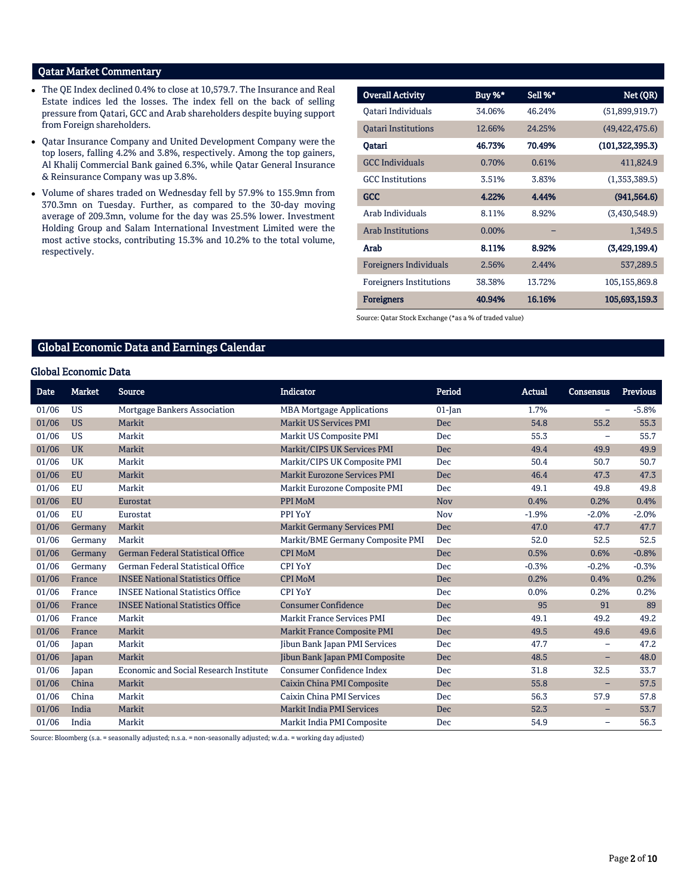# Qatar Market Commentary

- The QE Index declined 0.4% to close at 10,579.7. The Insurance and Real Estate indices led the losses. The index fell on the back of selling pressure from Qatari, GCC and Arab shareholders despite buying support from Foreign shareholders.
- Qatar Insurance Company and United Development Company were the top losers, falling 4.2% and 3.8%, respectively. Among the top gainers, Al Khalij Commercial Bank gained 6.3%, while Qatar General Insurance & Reinsurance Company was up 3.8%.
- Volume of shares traded on Wednesday fell by 57.9% to 155.9mn from 370.3mn on Tuesday. Further, as compared to the 30-day moving average of 209.3mn, volume for the day was 25.5% lower. Investment Holding Group and Salam International Investment Limited were the most active stocks, contributing 15.3% and 10.2% to the total volume, respectively.

| <b>Overall Activity</b>        | Buy %*   | Sell %* | Net (QR)          |
|--------------------------------|----------|---------|-------------------|
| Oatari Individuals             | 34.06%   | 46.24%  | (51,899,919.7)    |
| <b>Oatari Institutions</b>     | 12.66%   | 24.25%  | (49, 422, 475.6)  |
| Qatari                         | 46.73%   | 70.49%  | (101, 322, 395.3) |
| <b>GCC Individuals</b>         | 0.70%    | 0.61%   | 411,824.9         |
| <b>GCC</b> Institutions        | 3.51%    | 3.83%   | (1,353,389.5)     |
| <b>GCC</b>                     | 4.22%    | 4.44%   | (941, 564.6)      |
| Arab Individuals               | 8.11%    | 8.92%   | (3,430,548.9)     |
| <b>Arab Institutions</b>       | $0.00\%$ |         | 1,349.5           |
| Arab                           | 8.11%    | 8.92%   | (3,429,199.4)     |
| <b>Foreigners Individuals</b>  | 2.56%    | 2.44%   | 537,289.5         |
| <b>Foreigners Institutions</b> | 38.38%   | 13.72%  | 105, 155, 869.8   |
| <b>Foreigners</b>              | 40.94%   | 16.16%  | 105,693,159.3     |

Source: Qatar Stock Exchange (\*as a % of traded value)

# Global Economic Data and Earnings Calendar

# Global Economic Data

| <b>Date</b> | <b>Market</b> | <b>Source</b>                                 | <b>Indicator</b>                    | Period     | <b>Actual</b> | <b>Consensus</b>         | <b>Previous</b> |
|-------------|---------------|-----------------------------------------------|-------------------------------------|------------|---------------|--------------------------|-----------------|
| 01/06       | <b>US</b>     | Mortgage Bankers Association                  | <b>MBA Mortgage Applications</b>    | $01$ -Jan  | 1.7%          | $\overline{\phantom{m}}$ | $-5.8%$         |
| 01/06       | <b>US</b>     | Markit                                        | <b>Markit US Services PMI</b>       | <b>Dec</b> | 54.8          | 55.2                     | 55.3            |
| 01/06       | <b>US</b>     | Markit                                        | Markit US Composite PMI             | Dec        | 55.3          | $\overline{\phantom{m}}$ | 55.7            |
| 01/06       | <b>UK</b>     | Markit                                        | Markit/CIPS UK Services PMI         | <b>Dec</b> | 49.4          | 49.9                     | 49.9            |
| 01/06       | <b>UK</b>     | Markit                                        | Markit/CIPS UK Composite PMI        | Dec        | 50.4          | 50.7                     | 50.7            |
| 01/06       | <b>EU</b>     | Markit                                        | <b>Markit Eurozone Services PMI</b> | Dec        | 46.4          | 47.3                     | 47.3            |
| 01/06       | <b>EU</b>     | Markit                                        | Markit Eurozone Composite PMI       | Dec        | 49.1          | 49.8                     | 49.8            |
| 01/06       | <b>EU</b>     | Eurostat                                      | PPI MoM                             | <b>Nov</b> | 0.4%          | 0.2%                     | 0.4%            |
| 01/06       | EU            | Eurostat                                      | PPI YoY                             | Nov        | $-1.9%$       | $-2.0%$                  | $-2.0%$         |
| 01/06       | Germany       | Markit                                        | <b>Markit Germany Services PMI</b>  | <b>Dec</b> | 47.0          | 47.7                     | 47.7            |
| 01/06       | Germany       | Markit                                        | Markit/BME Germany Composite PMI    | Dec        | 52.0          | 52.5                     | 52.5            |
| 01/06       | Germany       | <b>German Federal Statistical Office</b>      | <b>CPI MoM</b>                      | Dec        | 0.5%          | 0.6%                     | $-0.8%$         |
| 01/06       | Germany       | German Federal Statistical Office             | <b>CPI YoY</b>                      | Dec        | $-0.3%$       | $-0.2%$                  | $-0.3%$         |
| 01/06       | France        | <b>INSEE National Statistics Office</b>       | <b>CPI MoM</b>                      | <b>Dec</b> | 0.2%          | 0.4%                     | 0.2%            |
| 01/06       | France        | <b>INSEE National Statistics Office</b>       | <b>CPI YoY</b>                      | Dec        | 0.0%          | 0.2%                     | 0.2%            |
| 01/06       | France        | <b>INSEE National Statistics Office</b>       | <b>Consumer Confidence</b>          | <b>Dec</b> | 95            | 91                       | 89              |
| 01/06       | France        | Markit                                        | <b>Markit France Services PMI</b>   | Dec        | 49.1          | 49.2                     | 49.2            |
| 01/06       | France        | Markit                                        | <b>Markit France Composite PMI</b>  | <b>Dec</b> | 49.5          | 49.6                     | 49.6            |
| 01/06       | Japan         | Markit                                        | Jibun Bank Japan PMI Services       | Dec        | 47.7          | $\overline{\phantom{m}}$ | 47.2            |
| 01/06       | Japan         | Markit                                        | Jibun Bank Japan PMI Composite      | <b>Dec</b> | 48.5          | -                        | 48.0            |
| 01/06       | Japan         | <b>Economic and Social Research Institute</b> | Consumer Confidence Index           | Dec        | 31.8          | 32.5                     | 33.7            |
| 01/06       | China         | Markit                                        | Caixin China PMI Composite          | <b>Dec</b> | 55.8          | -                        | 57.5            |
| 01/06       | China         | Markit                                        | Caixin China PMI Services           | Dec        | 56.3          | 57.9                     | 57.8            |
| 01/06       | India         | Markit                                        | <b>Markit India PMI Services</b>    | <b>Dec</b> | 52.3          | -                        | 53.7            |
| 01/06       | India         | Markit                                        | Markit India PMI Composite          | Dec        | 54.9          | $\overline{\phantom{m}}$ | 56.3            |

Source: Bloomberg (s.a. = seasonally adjusted; n.s.a. = non-seasonally adjusted; w.d.a. = working day adjusted)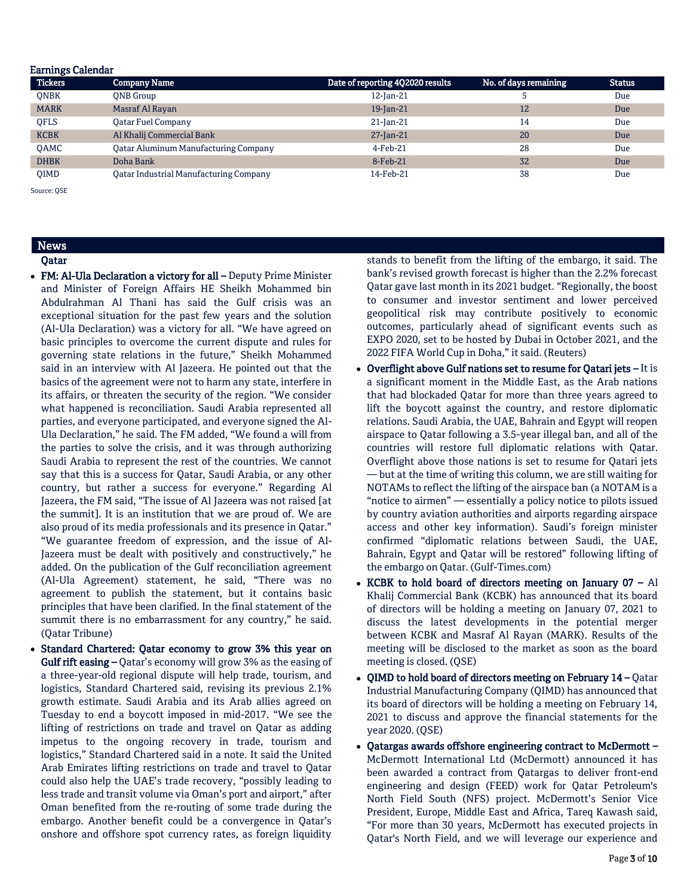| <b>Earnings Calendar</b> |                                               |                                  |                       |               |
|--------------------------|-----------------------------------------------|----------------------------------|-----------------------|---------------|
| <b>Tickers</b>           | <b>Company Name</b>                           | Date of reporting 4Q2020 results | No. of days remaining | <b>Status</b> |
| <b>ONBK</b>              | <b>ONB</b> Group                              | 12-Jan-21                        | 5                     | Due           |
| <b>MARK</b>              | Masraf Al Rayan                               | 19-Jan-21                        | 12                    | Due           |
| <b>OFLS</b>              | Oatar Fuel Company                            | $21$ -Jan-21                     | 14                    | Due           |
| <b>KCBK</b>              | Al Khalij Commercial Bank                     | $27$ -Jan-21                     | 20                    | Due           |
| <b>OAMC</b>              | <b>Qatar Aluminum Manufacturing Company</b>   | $4$ -Feb-21                      | 28                    | Due           |
| <b>DHBK</b>              | Doha Bank                                     | 8-Feb-21                         | 32                    | Due           |
| <b>OIMD</b>              | <b>Qatar Industrial Manufacturing Company</b> | 14-Feb-21                        | 38                    | Due           |

Source: QSE

# News

# Qatar

- FM: Al-Ula Declaration a victory for all Deputy Prime Minister and Minister of Foreign Affairs HE Sheikh Mohammed bin Abdulrahman Al Thani has said the Gulf crisis was an exceptional situation for the past few years and the solution (Al-Ula Declaration) was a victory for all. "We have agreed on basic principles to overcome the current dispute and rules for governing state relations in the future," Sheikh Mohammed said in an interview with Al Jazeera. He pointed out that the basics of the agreement were not to harm any state, interfere in its affairs, or threaten the security of the region. "We consider what happened is reconciliation. Saudi Arabia represented all parties, and everyone participated, and everyone signed the Al-Ula Declaration," he said. The FM added, "We found a will from the parties to solve the crisis, and it was through authorizing Saudi Arabia to represent the rest of the countries. We cannot say that this is a success for Qatar, Saudi Arabia, or any other country, but rather a success for everyone." Regarding Al Jazeera, the FM said, "The issue of Al Jazeera was not raised [at the summit]. It is an institution that we are proud of. We are also proud of its media professionals and its presence in Qatar." "We guarantee freedom of expression, and the issue of Al-Jazeera must be dealt with positively and constructively," he added. On the publication of the Gulf reconciliation agreement (Al-Ula Agreement) statement, he said, "There was no agreement to publish the statement, but it contains basic principles that have been clarified. In the final statement of the summit there is no embarrassment for any country," he said. (Qatar Tribune)
- Standard Chartered: Qatar economy to grow 3% this year on Gulf rift easing – Qatar's economy will grow 3% as the easing of a three-year-old regional dispute will help trade, tourism, and logistics, Standard Chartered said, revising its previous 2.1% growth estimate. Saudi Arabia and its Arab allies agreed on Tuesday to end a boycott imposed in mid-2017. "We see the lifting of restrictions on trade and travel on Qatar as adding impetus to the ongoing recovery in trade, tourism and logistics," Standard Chartered said in a note. It said the United Arab Emirates lifting restrictions on trade and travel to Qatar could also help the UAE's trade recovery, "possibly leading to less trade and transit volume via Oman's port and airport," after Oman benefited from the re-routing of some trade during the embargo. Another benefit could be a convergence in Qatar's onshore and offshore spot currency rates, as foreign liquidity

stands to benefit from the lifting of the embargo, it said. The bank's revised growth forecast is higher than the 2.2% forecast Qatar gave last month in its 2021 budget. "Regionally, the boost to consumer and investor sentiment and lower perceived geopolitical risk may contribute positively to economic outcomes, particularly ahead of significant events such as EXPO 2020, set to be hosted by Dubai in October 2021, and the 2022 FIFA World Cup in Doha," it said. (Reuters)

- Overflight above Gulf nations set to resume for Qatari jets It is a significant moment in the Middle East, as the Arab nations that had blockaded Qatar for more than three years agreed to lift the boycott against the country, and restore diplomatic relations. Saudi Arabia, the UAE, Bahrain and Egypt will reopen airspace to Qatar following a 3.5-year illegal ban, and all of the countries will restore full diplomatic relations with Qatar. Overflight above those nations is set to resume for Qatari jets — but at the time of writing this column, we are still waiting for NOTAMs to reflect the lifting of the airspace ban (a NOTAM is a "notice to airmen" — essentially a policy notice to pilots issued by country aviation authorities and airports regarding airspace access and other key information). Saudi's foreign minister confirmed "diplomatic relations between Saudi, the UAE, Bahrain, Egypt and Qatar will be restored" following lifting of the embargo on Qatar. (Gulf-Times.com)
- KCBK to hold board of directors meeting on January  $07 Al$ Khalij Commercial Bank (KCBK) has announced that its board of directors will be holding a meeting on January 07, 2021 to discuss the latest developments in the potential merger between KCBK and Masraf Al Rayan (MARK). Results of the meeting will be disclosed to the market as soon as the board meeting is closed. (QSE)
- QIMD to hold board of directors meeting on February 14 Qatar Industrial Manufacturing Company (QIMD) has announced that its board of directors will be holding a meeting on February 14, 2021 to discuss and approve the financial statements for the year 2020. (QSE)
- Qatargas awards offshore engineering contract to McDermott McDermott International Ltd (McDermott) announced it has been awarded a contract from Qatargas to deliver front-end engineering and design (FEED) work for Qatar Petroleum's North Field South (NFS) project. McDermott's Senior Vice President, Europe, Middle East and Africa, Tareq Kawash said, "For more than 30 years, McDermott has executed projects in Qatar's North Field, and we will leverage our experience and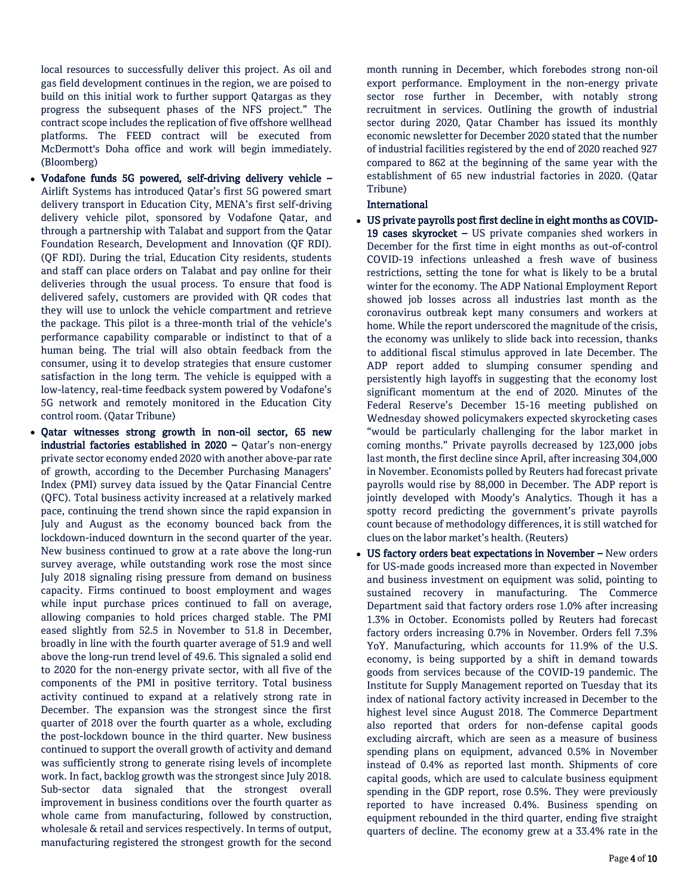local resources to successfully deliver this project. As oil and gas field development continues in the region, we are poised to build on this initial work to further support Qatargas as they progress the subsequent phases of the NFS project." The contract scope includes the replication of five offshore wellhead platforms. The FEED contract will be executed from McDermott's Doha office and work will begin immediately. (Bloomberg)

- Vodafone funds 5G powered, self-driving delivery vehicle Airlift Systems has introduced Qatar's first 5G powered smart delivery transport in Education City, MENA's first self-driving delivery vehicle pilot, sponsored by Vodafone Qatar, and through a partnership with Talabat and support from the Qatar Foundation Research, Development and Innovation (QF RDI). (QF RDI). During the trial, Education City residents, students and staff can place orders on Talabat and pay online for their deliveries through the usual process. To ensure that food is delivered safely, customers are provided with QR codes that they will use to unlock the vehicle compartment and retrieve the package. This pilot is a three-month trial of the vehicle's performance capability comparable or indistinct to that of a human being. The trial will also obtain feedback from the consumer, using it to develop strategies that ensure customer satisfaction in the long term. The vehicle is equipped with a low-latency, real-time feedback system powered by Vodafone's 5G network and remotely monitored in the Education City control room. (Qatar Tribune)
- Qatar witnesses strong growth in non-oil sector, 65 new industrial factories established in 2020 – Qatar's non-energy private sector economy ended 2020 with another above-par rate of growth, according to the December Purchasing Managers' Index (PMI) survey data issued by the Qatar Financial Centre (QFC). Total business activity increased at a relatively marked pace, continuing the trend shown since the rapid expansion in July and August as the economy bounced back from the lockdown-induced downturn in the second quarter of the year. New business continued to grow at a rate above the long-run survey average, while outstanding work rose the most since July 2018 signaling rising pressure from demand on business capacity. Firms continued to boost employment and wages while input purchase prices continued to fall on average, allowing companies to hold prices charged stable. The PMI eased slightly from 52.5 in November to 51.8 in December, broadly in line with the fourth quarter average of 51.9 and well above the long-run trend level of 49.6. This signaled a solid end to 2020 for the non-energy private sector, with all five of the components of the PMI in positive territory. Total business activity continued to expand at a relatively strong rate in December. The expansion was the strongest since the first quarter of 2018 over the fourth quarter as a whole, excluding the post-lockdown bounce in the third quarter. New business continued to support the overall growth of activity and demand was sufficiently strong to generate rising levels of incomplete work. In fact, backlog growth was the strongest since July 2018. Sub-sector data signaled that the strongest overall improvement in business conditions over the fourth quarter as whole came from manufacturing, followed by construction, wholesale & retail and services respectively. In terms of output, manufacturing registered the strongest growth for the second

month running in December, which forebodes strong non-oil export performance. Employment in the non-energy private sector rose further in December, with notably strong recruitment in services. Outlining the growth of industrial sector during 2020, Qatar Chamber has issued its monthly economic newsletter for December 2020 stated that the number of industrial facilities registered by the end of 2020 reached 927 compared to 862 at the beginning of the same year with the establishment of 65 new industrial factories in 2020. (Qatar Tribune)

# International

- US private payrolls post first decline in eight months as COVID-19 cases skyrocket – US private companies shed workers in December for the first time in eight months as out-of-control COVID-19 infections unleashed a fresh wave of business restrictions, setting the tone for what is likely to be a brutal winter for the economy. The ADP National Employment Report showed job losses across all industries last month as the coronavirus outbreak kept many consumers and workers at home. While the report underscored the magnitude of the crisis, the economy was unlikely to slide back into recession, thanks to additional fiscal stimulus approved in late December. The ADP report added to slumping consumer spending and persistently high layoffs in suggesting that the economy lost significant momentum at the end of 2020. Minutes of the Federal Reserve's December 15-16 meeting published on Wednesday showed policymakers expected skyrocketing cases "would be particularly challenging for the labor market in coming months." Private payrolls decreased by 123,000 jobs last month, the first decline since April, after increasing 304,000 in November. Economists polled by Reuters had forecast private payrolls would rise by 88,000 in December. The ADP report is jointly developed with Moody's Analytics. Though it has a spotty record predicting the government's private payrolls count because of methodology differences, it is still watched for clues on the labor market's health. (Reuters)
- US factory orders beat expectations in November New orders for US-made goods increased more than expected in November and business investment on equipment was solid, pointing to sustained recovery in manufacturing. The Commerce Department said that factory orders rose 1.0% after increasing 1.3% in October. Economists polled by Reuters had forecast factory orders increasing 0.7% in November. Orders fell 7.3% YoY. Manufacturing, which accounts for 11.9% of the U.S. economy, is being supported by a shift in demand towards goods from services because of the COVID-19 pandemic. The Institute for Supply Management reported on Tuesday that its index of national factory activity increased in December to the highest level since August 2018. The Commerce Department also reported that orders for non-defense capital goods excluding aircraft, which are seen as a measure of business spending plans on equipment, advanced 0.5% in November instead of 0.4% as reported last month. Shipments of core capital goods, which are used to calculate business equipment spending in the GDP report, rose 0.5%. They were previously reported to have increased 0.4%. Business spending on equipment rebounded in the third quarter, ending five straight quarters of decline. The economy grew at a 33.4% rate in the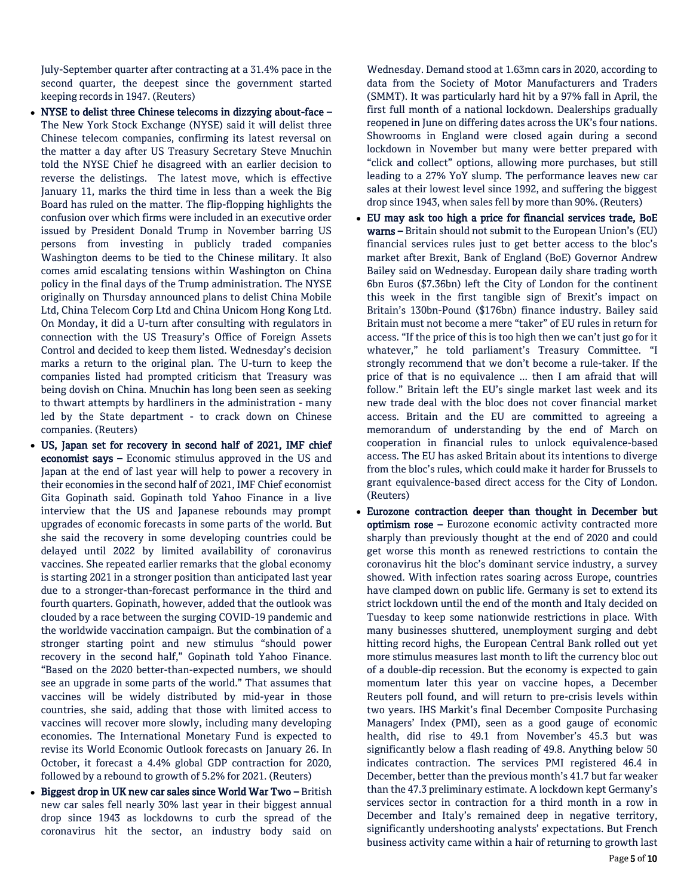July-September quarter after contracting at a 31.4% pace in the second quarter, the deepest since the government started keeping records in 1947. (Reuters)

- NYSE to delist three Chinese telecoms in dizzying about-face The New York Stock Exchange (NYSE) said it will delist three Chinese telecom companies, confirming its latest reversal on the matter a day after US Treasury Secretary Steve Mnuchin told the NYSE Chief he disagreed with an earlier decision to reverse the delistings. The latest move, which is effective January 11, marks the third time in less than a week the Big Board has ruled on the matter. The flip-flopping highlights the confusion over which firms were included in an executive order issued by President Donald Trump in November barring US persons from investing in publicly traded companies Washington deems to be tied to the Chinese military. It also comes amid escalating tensions within Washington on China policy in the final days of the Trump administration. The NYSE originally on Thursday announced plans to delist China Mobile Ltd, China Telecom Corp Ltd and China Unicom Hong Kong Ltd. On Monday, it did a U-turn after consulting with regulators in connection with the US Treasury's Office of Foreign Assets Control and decided to keep them listed. Wednesday's decision marks a return to the original plan. The U-turn to keep the companies listed had prompted criticism that Treasury was being dovish on China. Mnuchin has long been seen as seeking to thwart attempts by hardliners in the administration - many led by the State department - to crack down on Chinese companies. (Reuters)
- US, Japan set for recovery in second half of 2021, IMF chief economist says – Economic stimulus approved in the US and Japan at the end of last year will help to power a recovery in their economies in the second half of 2021, IMF Chief economist Gita Gopinath said. Gopinath told Yahoo Finance in a live interview that the US and Japanese rebounds may prompt upgrades of economic forecasts in some parts of the world. But she said the recovery in some developing countries could be delayed until 2022 by limited availability of coronavirus vaccines. She repeated earlier remarks that the global economy is starting 2021 in a stronger position than anticipated last year due to a stronger-than-forecast performance in the third and fourth quarters. Gopinath, however, added that the outlook was clouded by a race between the surging COVID-19 pandemic and the worldwide vaccination campaign. But the combination of a stronger starting point and new stimulus "should power recovery in the second half," Gopinath told Yahoo Finance. "Based on the 2020 better-than-expected numbers, we should see an upgrade in some parts of the world." That assumes that vaccines will be widely distributed by mid-year in those countries, she said, adding that those with limited access to vaccines will recover more slowly, including many developing economies. The International Monetary Fund is expected to revise its World Economic Outlook forecasts on January 26. In October, it forecast a 4.4% global GDP contraction for 2020, followed by a rebound to growth of 5.2% for 2021. (Reuters)
- Biggest drop in UK new car sales since World War Two British new car sales fell nearly 30% last year in their biggest annual drop since 1943 as lockdowns to curb the spread of the coronavirus hit the sector, an industry body said on

Wednesday. Demand stood at 1.63mn cars in 2020, according to data from the Society of Motor Manufacturers and Traders (SMMT). It was particularly hard hit by a 97% fall in April, the first full month of a national lockdown. Dealerships gradually reopened in June on differing dates across the UK's four nations. Showrooms in England were closed again during a second lockdown in November but many were better prepared with "click and collect" options, allowing more purchases, but still leading to a 27% YoY slump. The performance leaves new car sales at their lowest level since 1992, and suffering the biggest drop since 1943, when sales fell by more than 90%. (Reuters)

- EU may ask too high a price for financial services trade, BoE warns – Britain should not submit to the European Union's (EU) financial services rules just to get better access to the bloc's market after Brexit, Bank of England (BoE) Governor Andrew Bailey said on Wednesday. European daily share trading worth 6bn Euros (\$7.36bn) left the City of London for the continent this week in the first tangible sign of Brexit's impact on Britain's 130bn-Pound (\$176bn) finance industry. Bailey said Britain must not become a mere "taker" of EU rules in return for access. "If the price of this is too high then we can't just go for it whatever," he told parliament's Treasury Committee. "I strongly recommend that we don't become a rule-taker. If the price of that is no equivalence ... then I am afraid that will follow." Britain left the EU's single market last week and its new trade deal with the bloc does not cover financial market access. Britain and the EU are committed to agreeing a memorandum of understanding by the end of March on cooperation in financial rules to unlock equivalence-based access. The EU has asked Britain about its intentions to diverge from the bloc's rules, which could make it harder for Brussels to grant equivalence-based direct access for the City of London. (Reuters)
- Eurozone contraction deeper than thought in December but optimism rose – Eurozone economic activity contracted more sharply than previously thought at the end of 2020 and could get worse this month as renewed restrictions to contain the coronavirus hit the bloc's dominant service industry, a survey showed. With infection rates soaring across Europe, countries have clamped down on public life. Germany is set to extend its strict lockdown until the end of the month and Italy decided on Tuesday to keep some nationwide restrictions in place. With many businesses shuttered, unemployment surging and debt hitting record highs, the European Central Bank rolled out yet more stimulus measures last month to lift the currency bloc out of a double-dip recession. But the economy is expected to gain momentum later this year on vaccine hopes, a December Reuters poll found, and will return to pre-crisis levels within two years. IHS Markit's final December Composite Purchasing Managers' Index (PMI), seen as a good gauge of economic health, did rise to 49.1 from November's 45.3 but was significantly below a flash reading of 49.8. Anything below 50 indicates contraction. The services PMI registered 46.4 in December, better than the previous month's 41.7 but far weaker than the 47.3 preliminary estimate. A lockdown kept Germany's services sector in contraction for a third month in a row in December and Italy's remained deep in negative territory, significantly undershooting analysts' expectations. But French business activity came within a hair of returning to growth last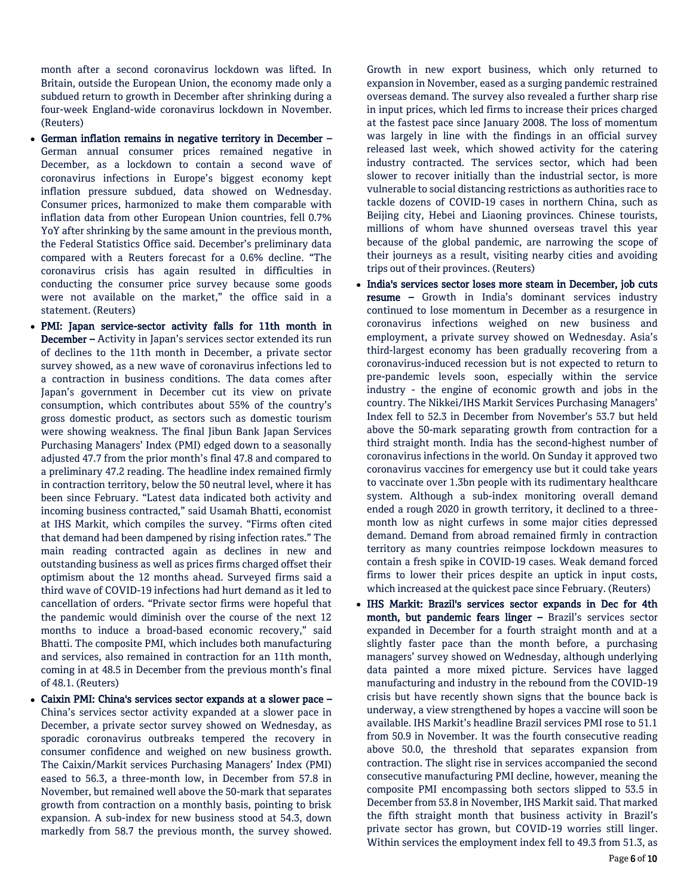month after a second coronavirus lockdown was lifted. In Britain, outside the European Union, the economy made only a subdued return to growth in December after shrinking during a four-week England-wide coronavirus lockdown in November. (Reuters)

- German inflation remains in negative territory in December German annual consumer prices remained negative in December, as a lockdown to contain a second wave of coronavirus infections in Europe's biggest economy kept inflation pressure subdued, data showed on Wednesday. Consumer prices, harmonized to make them comparable with inflation data from other European Union countries, fell 0.7% YoY after shrinking by the same amount in the previous month, the Federal Statistics Office said. December's preliminary data compared with a Reuters forecast for a 0.6% decline. "The coronavirus crisis has again resulted in difficulties in conducting the consumer price survey because some goods were not available on the market," the office said in a statement. (Reuters)
- PMI: Japan service-sector activity falls for 11th month in December – Activity in Japan's services sector extended its run of declines to the 11th month in December, a private sector survey showed, as a new wave of coronavirus infections led to a contraction in business conditions. The data comes after Japan's government in December cut its view on private consumption, which contributes about 55% of the country's gross domestic product, as sectors such as domestic tourism were showing weakness. The final Jibun Bank Japan Services Purchasing Managers' Index (PMI) edged down to a seasonally adjusted 47.7 from the prior month's final 47.8 and compared to a preliminary 47.2 reading. The headline index remained firmly in contraction territory, below the 50 neutral level, where it has been since February. "Latest data indicated both activity and incoming business contracted," said Usamah Bhatti, economist at IHS Markit, which compiles the survey. "Firms often cited that demand had been dampened by rising infection rates." The main reading contracted again as declines in new and outstanding business as well as prices firms charged offset their optimism about the 12 months ahead. Surveyed firms said a third wave of COVID-19 infections had hurt demand as it led to cancellation of orders. "Private sector firms were hopeful that the pandemic would diminish over the course of the next 12 months to induce a broad-based economic recovery," said Bhatti. The composite PMI, which includes both manufacturing and services, also remained in contraction for an 11th month, coming in at 48.5 in December from the previous month's final of 48.1. (Reuters)
- Caixin PMI: China's services sector expands at a slower pace China's services sector activity expanded at a slower pace in December, a private sector survey showed on Wednesday, as sporadic coronavirus outbreaks tempered the recovery in consumer confidence and weighed on new business growth. The Caixin/Markit services Purchasing Managers' Index (PMI) eased to 56.3, a three-month low, in December from 57.8 in November, but remained well above the 50-mark that separates growth from contraction on a monthly basis, pointing to brisk expansion. A sub-index for new business stood at 54.3, down markedly from 58.7 the previous month, the survey showed.

Growth in new export business, which only returned to expansion in November, eased as a surging pandemic restrained overseas demand. The survey also revealed a further sharp rise in input prices, which led firms to increase their prices charged at the fastest pace since January 2008. The loss of momentum was largely in line with the findings in an official survey released last week, which showed activity for the catering industry contracted. The services sector, which had been slower to recover initially than the industrial sector, is more vulnerable to social distancing restrictions as authorities race to tackle dozens of COVID-19 cases in northern China, such as Beijing city, Hebei and Liaoning provinces. Chinese tourists, millions of whom have shunned overseas travel this year because of the global pandemic, are narrowing the scope of their journeys as a result, visiting nearby cities and avoiding trips out of their provinces. (Reuters)

- India's services sector loses more steam in December, job cuts resume – Growth in India's dominant services industry continued to lose momentum in December as a resurgence in coronavirus infections weighed on new business and employment, a private survey showed on Wednesday. Asia's third-largest economy has been gradually recovering from a coronavirus-induced recession but is not expected to return to pre-pandemic levels soon, especially within the service industry - the engine of economic growth and jobs in the country. The Nikkei/IHS Markit Services Purchasing Managers' Index fell to 52.3 in December from November's 53.7 but held above the 50-mark separating growth from contraction for a third straight month. India has the second-highest number of coronavirus infections in the world. On Sunday it approved two coronavirus vaccines for emergency use but it could take years to vaccinate over 1.3bn people with its rudimentary healthcare system. Although a sub-index monitoring overall demand ended a rough 2020 in growth territory, it declined to a threemonth low as night curfews in some major cities depressed demand. Demand from abroad remained firmly in contraction territory as many countries reimpose lockdown measures to contain a fresh spike in COVID-19 cases. Weak demand forced firms to lower their prices despite an uptick in input costs, which increased at the quickest pace since February. (Reuters)
- IHS Markit: Brazil's services sector expands in Dec for 4th month, but pandemic fears linger – Brazil's services sector expanded in December for a fourth straight month and at a slightly faster pace than the month before, a purchasing managers' survey showed on Wednesday, although underlying data painted a more mixed picture. Services have lagged manufacturing and industry in the rebound from the COVID-19 crisis but have recently shown signs that the bounce back is underway, a view strengthened by hopes a vaccine will soon be available. IHS Markit's headline Brazil services PMI rose to 51.1 from 50.9 in November. It was the fourth consecutive reading above 50.0, the threshold that separates expansion from contraction. The slight rise in services accompanied the second consecutive manufacturing PMI decline, however, meaning the composite PMI encompassing both sectors slipped to 53.5 in December from 53.8 in November, IHS Markit said. That marked the fifth straight month that business activity in Brazil's private sector has grown, but COVID-19 worries still linger. Within services the employment index fell to 49.3 from 51.3, as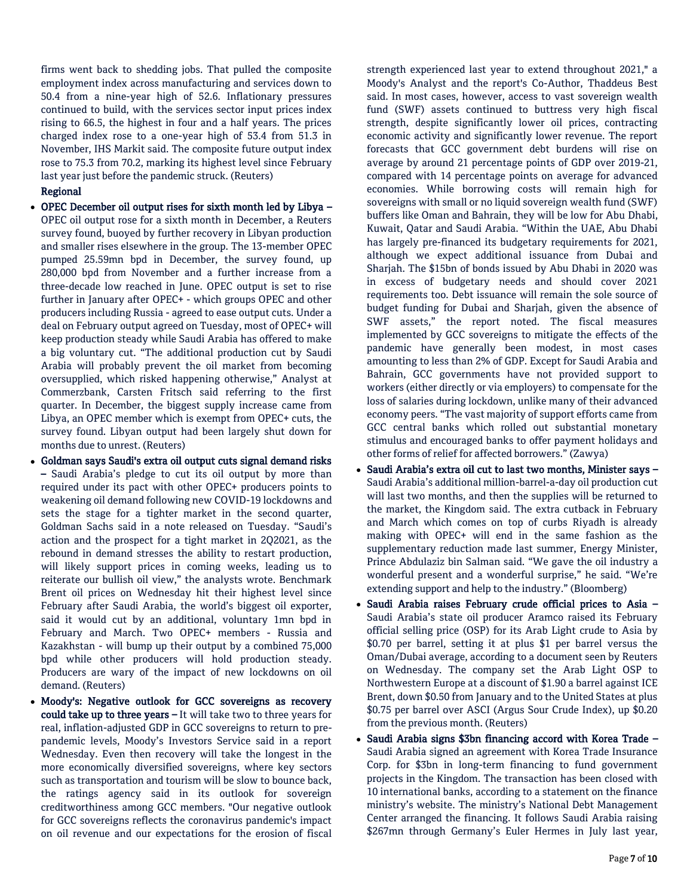firms went back to shedding jobs. That pulled the composite employment index across manufacturing and services down to 50.4 from a nine-year high of 52.6. Inflationary pressures continued to build, with the services sector input prices index rising to 66.5, the highest in four and a half years. The prices charged index rose to a one-year high of 53.4 from 51.3 in November, IHS Markit said. The composite future output index rose to 75.3 from 70.2, marking its highest level since February last year just before the pandemic struck. (Reuters)

### Regional

- OPEC December oil output rises for sixth month led by Libya OPEC oil output rose for a sixth month in December, a Reuters survey found, buoyed by further recovery in Libyan production and smaller rises elsewhere in the group. The 13-member OPEC pumped 25.59mn bpd in December, the survey found, up 280,000 bpd from November and a further increase from a three-decade low reached in June. OPEC output is set to rise further in January after OPEC+ - which groups OPEC and other producers including Russia - agreed to ease output cuts. Under a deal on February output agreed on Tuesday, most of OPEC+ will keep production steady while Saudi Arabia has offered to make a big voluntary cut. "The additional production cut by Saudi Arabia will probably prevent the oil market from becoming oversupplied, which risked happening otherwise," Analyst at Commerzbank, Carsten Fritsch said referring to the first quarter. In December, the biggest supply increase came from Libya, an OPEC member which is exempt from OPEC+ cuts, the survey found. Libyan output had been largely shut down for months due to unrest. (Reuters)
- Goldman says Saudi's extra oil output cuts signal demand risks – Saudi Arabia's pledge to cut its oil output by more than required under its pact with other OPEC+ producers points to weakening oil demand following new COVID-19 lockdowns and sets the stage for a tighter market in the second quarter, Goldman Sachs said in a note released on Tuesday. "Saudi's action and the prospect for a tight market in 2Q2021, as the rebound in demand stresses the ability to restart production, will likely support prices in coming weeks, leading us to reiterate our bullish oil view," the analysts wrote. Benchmark Brent oil prices on Wednesday hit their highest level since February after Saudi Arabia, the world's biggest oil exporter, said it would cut by an additional, voluntary 1mn bpd in February and March. Two OPEC+ members - Russia and Kazakhstan - will bump up their output by a combined 75,000 bpd while other producers will hold production steady. Producers are wary of the impact of new lockdowns on oil demand. (Reuters)
- Moody's: Negative outlook for GCC sovereigns as recovery could take up to three years – It will take two to three years for real, inflation-adjusted GDP in GCC sovereigns to return to prepandemic levels, Moody's Investors Service said in a report Wednesday. Even then recovery will take the longest in the more economically diversified sovereigns, where key sectors such as transportation and tourism will be slow to bounce back, the ratings agency said in its outlook for sovereign creditworthiness among GCC members. "Our negative outlook for GCC sovereigns reflects the coronavirus pandemic's impact on oil revenue and our expectations for the erosion of fiscal

strength experienced last year to extend throughout 2021," a Moody's Analyst and the report's Co-Author, Thaddeus Best said. In most cases, however, access to vast sovereign wealth fund (SWF) assets continued to buttress very high fiscal strength, despite significantly lower oil prices, contracting economic activity and significantly lower revenue. The report forecasts that GCC government debt burdens will rise on average by around 21 percentage points of GDP over 2019-21, compared with 14 percentage points on average for advanced economies. While borrowing costs will remain high for sovereigns with small or no liquid sovereign wealth fund (SWF) buffers like Oman and Bahrain, they will be low for Abu Dhabi, Kuwait, Qatar and Saudi Arabia. "Within the UAE, Abu Dhabi has largely pre-financed its budgetary requirements for 2021, although we expect additional issuance from Dubai and Sharjah. The \$15bn of bonds issued by Abu Dhabi in 2020 was in excess of budgetary needs and should cover 2021 requirements too. Debt issuance will remain the sole source of budget funding for Dubai and Sharjah, given the absence of SWF assets," the report noted. The fiscal measures implemented by GCC sovereigns to mitigate the effects of the pandemic have generally been modest, in most cases amounting to less than 2% of GDP. Except for Saudi Arabia and Bahrain, GCC governments have not provided support to workers (either directly or via employers) to compensate for the loss of salaries during lockdown, unlike many of their advanced economy peers. "The vast majority of support efforts came from GCC central banks which rolled out substantial monetary stimulus and encouraged banks to offer payment holidays and other forms of relief for affected borrowers." (Zawya)

- Saudi Arabia's extra oil cut to last two months, Minister says Saudi Arabia's additional million-barrel-a-day oil production cut will last two months, and then the supplies will be returned to the market, the Kingdom said. The extra cutback in February and March which comes on top of curbs Riyadh is already making with OPEC+ will end in the same fashion as the supplementary reduction made last summer, Energy Minister, Prince Abdulaziz bin Salman said. "We gave the oil industry a wonderful present and a wonderful surprise," he said. "We're extending support and help to the industry." (Bloomberg)
- Saudi Arabia raises February crude official prices to Asia Saudi Arabia's state oil producer Aramco raised its February official selling price (OSP) for its Arab Light crude to Asia by \$0.70 per barrel, setting it at plus \$1 per barrel versus the Oman/Dubai average, according to a document seen by Reuters on Wednesday. The company set the Arab Light OSP to Northwestern Europe at a discount of \$1.90 a barrel against ICE Brent, down \$0.50 from January and to the United States at plus \$0.75 per barrel over ASCI (Argus Sour Crude Index), up \$0.20 from the previous month. (Reuters)
- Saudi Arabia signs \$3bn financing accord with Korea Trade Saudi Arabia signed an agreement with Korea Trade Insurance Corp. for \$3bn in long-term financing to fund government projects in the Kingdom. The transaction has been closed with 10 international banks, according to a statement on the finance ministry's website. The ministry's National Debt Management Center arranged the financing. It follows Saudi Arabia raising \$267mn through Germany's Euler Hermes in July last year,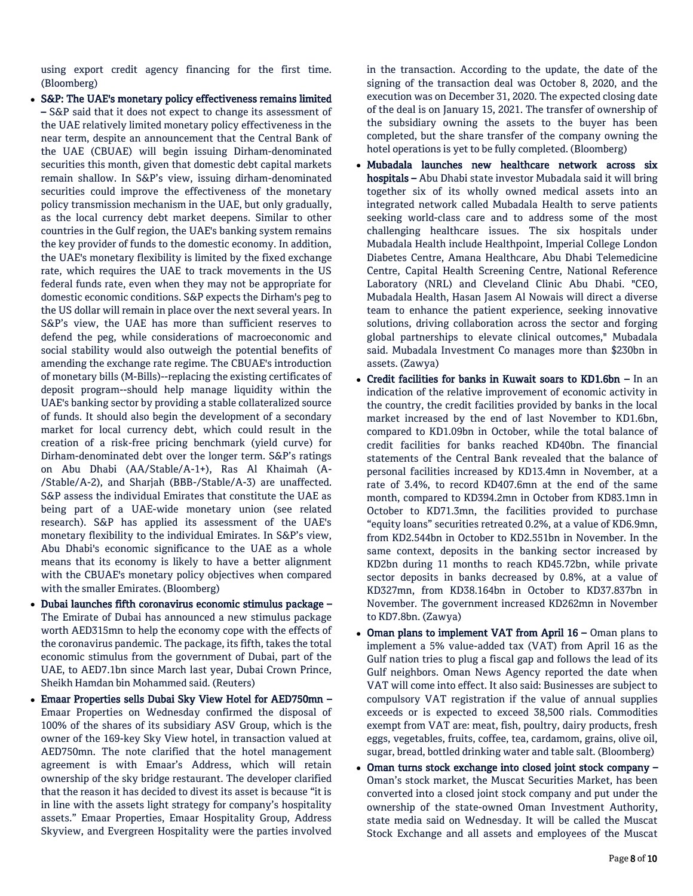using export credit agency financing for the first time. (Bloomberg)

 S&P: The UAE's monetary policy effectiveness remains limited – S&P said that it does not expect to change its assessment of the UAE relatively limited monetary policy effectiveness in the near term, despite an announcement that the Central Bank of the UAE (CBUAE) will begin issuing Dirham-denominated securities this month, given that domestic debt capital markets remain shallow. In S&P's view, issuing dirham-denominated securities could improve the effectiveness of the monetary policy transmission mechanism in the UAE, but only gradually, as the local currency debt market deepens. Similar to other countries in the Gulf region, the UAE's banking system remains the key provider of funds to the domestic economy. In addition, the UAE's monetary flexibility is limited by the fixed exchange rate, which requires the UAE to track movements in the US federal funds rate, even when they may not be appropriate for domestic economic conditions. S&P expects the Dirham's peg to the US dollar will remain in place over the next several years. In S&P's view, the UAE has more than sufficient reserves to defend the peg, while considerations of macroeconomic and social stability would also outweigh the potential benefits of amending the exchange rate regime. The CBUAE's introduction of monetary bills (M-Bills)--replacing the existing certificates of deposit program--should help manage liquidity within the UAE's banking sector by providing a stable collateralized source of funds. It should also begin the development of a secondary market for local currency debt, which could result in the creation of a risk-free pricing benchmark (yield curve) for Dirham-denominated debt over the longer term. S&P's ratings on Abu Dhabi (AA/Stable/A-1+), Ras Al Khaimah (A- /Stable/A-2), and Sharjah (BBB-/Stable/A-3) are unaffected. S&P assess the individual Emirates that constitute the UAE as being part of a UAE-wide monetary union (see related research). S&P has applied its assessment of the UAE's monetary flexibility to the individual Emirates. In S&P's view, Abu Dhabi's economic significance to the UAE as a whole means that its economy is likely to have a better alignment with the CBUAE's monetary policy objectives when compared with the smaller Emirates. (Bloomberg)

- Dubai launches fifth coronavirus economic stimulus package The Emirate of Dubai has announced a new stimulus package worth AED315mn to help the economy cope with the effects of the coronavirus pandemic. The package, its fifth, takes the total economic stimulus from the government of Dubai, part of the UAE, to AED7.1bn since March last year, Dubai Crown Prince, Sheikh Hamdan bin Mohammed said. (Reuters)
- Emaar Properties sells Dubai Sky View Hotel for AED750mn Emaar Properties on Wednesday confirmed the disposal of 100% of the shares of its subsidiary ASV Group, which is the owner of the 169-key Sky View hotel, in transaction valued at AED750mn. The note clarified that the hotel management agreement is with Emaar's Address, which will retain ownership of the sky bridge restaurant. The developer clarified that the reason it has decided to divest its asset is because "it is in line with the assets light strategy for company's hospitality assets." Emaar Properties, Emaar Hospitality Group, Address Skyview, and Evergreen Hospitality were the parties involved

in the transaction. According to the update, the date of the signing of the transaction deal was October 8, 2020, and the execution was on December 31, 2020. The expected closing date of the deal is on January 15, 2021. The transfer of ownership of the subsidiary owning the assets to the buyer has been completed, but the share transfer of the company owning the hotel operations is yet to be fully completed. (Bloomberg)

- Mubadala launches new healthcare network across six hospitals – Abu Dhabi state investor Mubadala said it will bring together six of its wholly owned medical assets into an integrated network called Mubadala Health to serve patients seeking world-class care and to address some of the most challenging healthcare issues. The six hospitals under Mubadala Health include Healthpoint, Imperial College London Diabetes Centre, Amana Healthcare, Abu Dhabi Telemedicine Centre, Capital Health Screening Centre, National Reference Laboratory (NRL) and Cleveland Clinic Abu Dhabi. "CEO, Mubadala Health, Hasan Jasem Al Nowais will direct a diverse team to enhance the patient experience, seeking innovative solutions, driving collaboration across the sector and forging global partnerships to elevate clinical outcomes," Mubadala said. Mubadala Investment Co manages more than \$230bn in assets. (Zawya)
- Credit facilities for banks in Kuwait soars to KD1.6bn In an indication of the relative improvement of economic activity in the country, the credit facilities provided by banks in the local market increased by the end of last November to KD1.6bn, compared to KD1.09bn in October, while the total balance of credit facilities for banks reached KD40bn. The financial statements of the Central Bank revealed that the balance of personal facilities increased by KD13.4mn in November, at a rate of 3.4%, to record KD407.6mn at the end of the same month, compared to KD394.2mn in October from KD83.1mn in October to KD71.3mn, the facilities provided to purchase "equity loans" securities retreated 0.2%, at a value of KD6.9mn, from KD2.544bn in October to KD2.551bn in November. In the same context, deposits in the banking sector increased by KD2bn during 11 months to reach KD45.72bn, while private sector deposits in banks decreased by 0.8%, at a value of KD327mn, from KD38.164bn in October to KD37.837bn in November. The government increased KD262mn in November to KD7.8bn. (Zawya)
- Oman plans to implement VAT from April 16 Oman plans to implement a 5% value-added tax (VAT) from April 16 as the Gulf nation tries to plug a fiscal gap and follows the lead of its Gulf neighbors. Oman News Agency reported the date when VAT will come into effect. It also said: Businesses are subject to compulsory VAT registration if the value of annual supplies exceeds or is expected to exceed 38,500 rials. Commodities exempt from VAT are: meat, fish, poultry, dairy products, fresh eggs, vegetables, fruits, coffee, tea, cardamom, grains, olive oil, sugar, bread, bottled drinking water and table salt. (Bloomberg)
- Oman turns stock exchange into closed joint stock company Oman's stock market, the Muscat Securities Market, has been converted into a closed joint stock company and put under the ownership of the state-owned Oman Investment Authority, state media said on Wednesday. It will be called the Muscat Stock Exchange and all assets and employees of the Muscat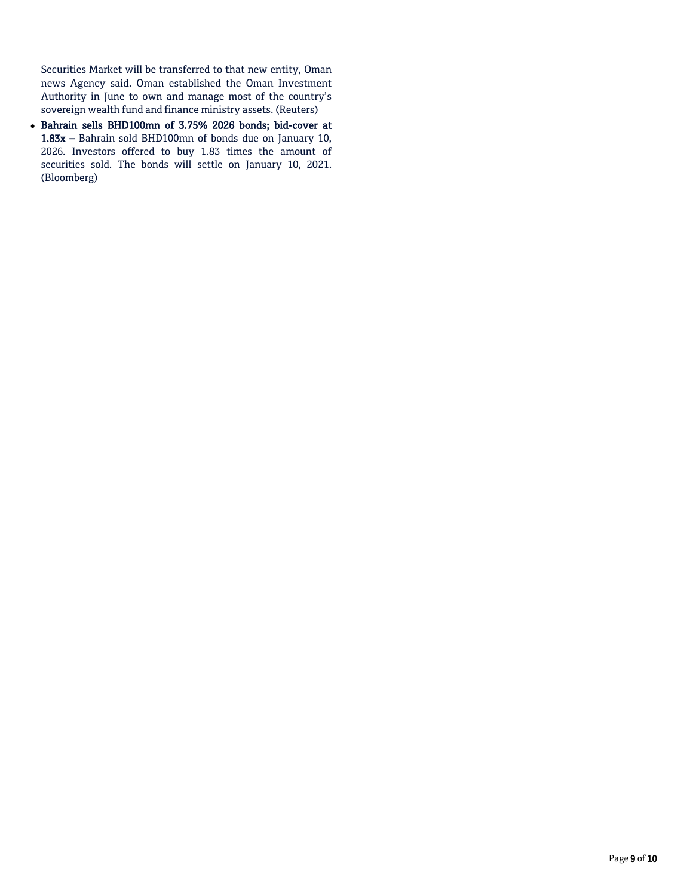Securities Market will be transferred to that new entity, Oman news Agency said. Oman established the Oman Investment Authority in June to own and manage most of the country's sovereign wealth fund and finance ministry assets. (Reuters)

 Bahrain sells BHD100mn of 3.75% 2026 bonds; bid-cover at 1.83x – Bahrain sold BHD100mn of bonds due on January 10, 2026. Investors offered to buy 1.83 times the amount of securities sold. The bonds will settle on January 10, 2021. (Bloomberg)